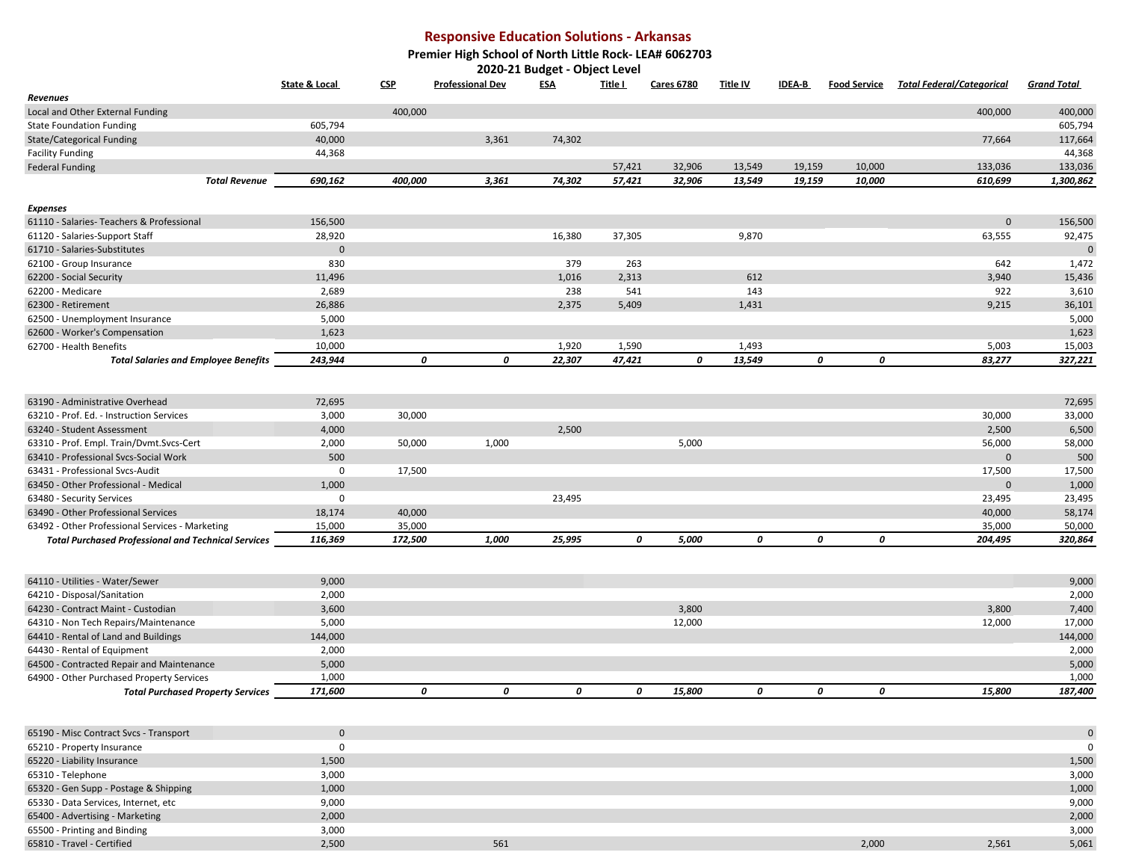## **Responsive Education Solutions - Arkansas**

**Premier High School of North Little Rock- LEA# 6062703**

**2020-21 Budget - Object Level** 

|                                                            | <b>State &amp; Local</b> | <b>CSP</b> | <b>Professional Dev</b> | <b>ESA</b> | <u>Title I</u> | <b>Cares 6780</b> | <u>Title IV</u> | <b>IDEA-B</b> | <u>Food Service</u> | <b>Total Federal/Categorical</b> | <b>Grand Total</b> |
|------------------------------------------------------------|--------------------------|------------|-------------------------|------------|----------------|-------------------|-----------------|---------------|---------------------|----------------------------------|--------------------|
| Revenues                                                   |                          |            |                         |            |                |                   |                 |               |                     |                                  |                    |
| Local and Other External Funding                           |                          | 400,000    |                         |            |                |                   |                 |               |                     | 400,000                          | 400,000            |
| <b>State Foundation Funding</b>                            | 605,794                  |            |                         |            |                |                   |                 |               |                     |                                  | 605,794            |
| <b>State/Categorical Funding</b>                           | 40,000                   |            | 3,361                   | 74,302     |                |                   |                 |               |                     | 77,664                           | 117,664            |
| <b>Facility Funding</b>                                    | 44,368                   |            |                         |            |                |                   |                 |               |                     |                                  | 44,368             |
| <b>Federal Funding</b>                                     |                          |            |                         |            | 57,421         | 32,906            | 13,549          | 19,159        | 10,000              | 133,036                          | 133,036            |
| <b>Total Revenue</b>                                       | 690,162                  | 400,000    | 3,361                   | 74,302     | 57,421         | 32,906            | 13,549          | 19,159        | 10,000              | 610,699                          | 1,300,862          |
| <b>Expenses</b>                                            |                          |            |                         |            |                |                   |                 |               |                     |                                  |                    |
| 61110 - Salaries- Teachers & Professional                  | 156,500                  |            |                         |            |                |                   |                 |               |                     | $\Omega$                         | 156,500            |
| 61120 - Salaries-Support Staff                             | 28,920                   |            |                         | 16,380     | 37,305         |                   | 9,870           |               |                     | 63,555                           | 92,475             |
| 61710 - Salaries-Substitutes                               | $\Omega$                 |            |                         |            |                |                   |                 |               |                     |                                  | $\Omega$           |
| 62100 - Group Insurance                                    | 830                      |            |                         | 379        | 263            |                   |                 |               |                     | 642                              | 1,472              |
| 62200 - Social Security                                    | 11,496                   |            |                         | 1,016      | 2,313          |                   | 612             |               |                     | 3,940                            | 15,436             |
| 62200 - Medicare                                           | 2,689                    |            |                         | 238        | 541            |                   | 143             |               |                     | 922                              | 3,610              |
| 62300 - Retirement                                         | 26,886                   |            |                         | 2,375      | 5,409          |                   | 1,431           |               |                     | 9,215                            | 36,101             |
| 62500 - Unemployment Insurance                             | 5,000                    |            |                         |            |                |                   |                 |               |                     |                                  | 5,000              |
| 62600 - Worker's Compensation                              | 1,623                    |            |                         |            |                |                   |                 |               |                     |                                  | 1,623              |
| 62700 - Health Benefits                                    | 10,000                   |            |                         | 1,920      | 1,590          |                   | 1,493           |               |                     | 5,003                            | 15,003             |
| <b>Total Salaries and Employee Benefits</b>                | 243,944                  | 0          | 0                       | 22,307     | 47,421         | 0                 | 13,549          | 0             | 0                   | 83,277                           | 327,221            |
|                                                            |                          |            |                         |            |                |                   |                 |               |                     |                                  |                    |
| 63190 - Administrative Overhead                            | 72,695                   |            |                         |            |                |                   |                 |               |                     |                                  | 72,695             |
| 63210 - Prof. Ed. - Instruction Services                   | 3,000                    | 30,000     |                         |            |                |                   |                 |               |                     | 30,000                           | 33,000             |
| 63240 - Student Assessment                                 | 4,000                    |            |                         | 2,500      |                |                   |                 |               |                     | 2,500                            | 6,500              |
| 63310 - Prof. Empl. Train/Dvmt.Svcs-Cert                   | 2,000                    | 50,000     | 1,000                   |            |                | 5,000             |                 |               |                     | 56,000                           | 58,000             |
| 63410 - Professional Svcs-Social Work                      | 500                      |            |                         |            |                |                   |                 |               |                     | $\mathbf{0}$                     | 500                |
| 63431 - Professional Svcs-Audit                            | $\mathbf 0$              | 17,500     |                         |            |                |                   |                 |               |                     | 17,500                           | 17,500             |
| 63450 - Other Professional - Medical                       | 1,000                    |            |                         |            |                |                   |                 |               |                     | $\mathbf{0}$                     | 1,000              |
| 63480 - Security Services                                  | $\mathbf 0$              |            |                         | 23,495     |                |                   |                 |               |                     | 23,495                           | 23,495             |
| 63490 - Other Professional Services                        | 18,174                   | 40,000     |                         |            |                |                   |                 |               |                     | 40,000                           | 58,174             |
| 63492 - Other Professional Services - Marketing            | 15,000                   | 35,000     |                         |            |                |                   |                 |               |                     | 35,000                           | 50,000             |
| <b>Total Purchased Professional and Technical Services</b> | 116,369                  | 172,500    | 1,000                   | 25,995     | 0              | 5,000             | 0               | 0             | 0                   | 204,495                          | 320,864            |
|                                                            |                          |            |                         |            |                |                   |                 |               |                     |                                  |                    |
| 64110 - Utilities - Water/Sewer                            | 9,000                    |            |                         |            |                |                   |                 |               |                     |                                  | 9,000              |
| 64210 - Disposal/Sanitation                                | 2,000                    |            |                         |            |                |                   |                 |               |                     |                                  | 2,000              |
| 64230 - Contract Maint - Custodian                         | 3,600                    |            |                         |            |                | 3,800             |                 |               |                     | 3,800                            | 7,400              |
| 64310 - Non Tech Repairs/Maintenance                       | 5,000                    |            |                         |            |                | 12,000            |                 |               |                     | 12,000                           | 17,000             |
| 64410 - Rental of Land and Buildings                       | 144,000                  |            |                         |            |                |                   |                 |               |                     |                                  | 144,000            |
| 64430 - Rental of Equipment                                | 2,000                    |            |                         |            |                |                   |                 |               |                     |                                  | 2,000              |
| 64500 - Contracted Repair and Maintenance                  | 5,000                    |            |                         |            |                |                   |                 |               |                     |                                  | 5,000              |
| 64900 - Other Purchased Property Services                  | 1,000                    |            |                         |            |                |                   |                 |               |                     |                                  | 1,000              |
| <b>Total Purchased Property Services</b>                   | 171,600                  | 0          | 0                       | 0          | 0              | 15,800            | 0               | 0             | 0                   | 15,800                           | 187,400            |
|                                                            |                          |            |                         |            |                |                   |                 |               |                     |                                  |                    |
| 65190 - Misc Contract Svcs - Transport                     | $\mathbf{0}$             |            |                         |            |                |                   |                 |               |                     |                                  | $\overline{0}$     |
| 65210 - Property Insurance                                 | $\mathbf 0$              |            |                         |            |                |                   |                 |               |                     |                                  | $\Omega$           |
| 65220 - Liability Insurance                                | 1,500                    |            |                         |            |                |                   |                 |               |                     |                                  | 1,500              |
| 65310 - Telephone                                          | 3,000                    |            |                         |            |                |                   |                 |               |                     |                                  | 3,000              |

| 65220 - Liability Insurance           | 1,500 |     |       |       | 1,500 |
|---------------------------------------|-------|-----|-------|-------|-------|
| 65310 - Telephone                     | 3,000 |     |       |       | 3,000 |
| 65320 - Gen Supp - Postage & Shipping | 1,000 |     |       |       | 1,000 |
| 65330 - Data Services, Internet, etc  | 9,000 |     |       |       | 9,000 |
| 65400 - Advertising - Marketing       | 2,000 |     |       |       | 2,000 |
| 65500 - Printing and Binding          | 3,000 |     |       |       | 3,000 |
| 65810 - Travel - Certified            | 2,500 | 561 | 2,000 | 2,561 | 5,061 |